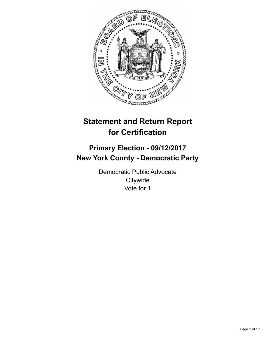

# **Statement and Return Report for Certification**

## **Primary Election - 09/12/2017 New York County - Democratic Party**

Democratic Public Advocate **Citywide** Vote for 1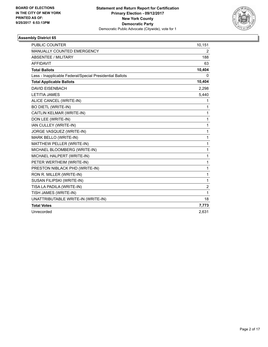

| <b>PUBLIC COUNTER</b>                                    | 10,151         |
|----------------------------------------------------------|----------------|
| MANUALLY COUNTED EMERGENCY                               | 2              |
| <b>ABSENTEE / MILITARY</b>                               | 188            |
| <b>AFFIDAVIT</b>                                         | 63             |
| <b>Total Ballots</b>                                     | 10,404         |
| Less - Inapplicable Federal/Special Presidential Ballots | $\mathbf{0}$   |
| <b>Total Applicable Ballots</b>                          | 10,404         |
| <b>DAVID EISENBACH</b>                                   | 2,298          |
| <b>LETITIA JAMES</b>                                     | 5,440          |
| ALICE CANCEL (WRITE-IN)                                  | 1              |
| <b>BO DIETL (WRITE-IN)</b>                               | 1              |
| CAITLIN KELMAR (WRITE-IN)                                | 1              |
| DON LEE (WRITE-IN)                                       | 1              |
| IAN CULLEY (WRITE-IN)                                    | 1              |
| JORGE VASQUEZ (WRITE-IN)                                 | 1              |
| MARK BELLO (WRITE-IN)                                    | 1              |
| MATTHEW PELLER (WRITE-IN)                                | 1              |
| MICHAEL BLOOMBERG (WRITE-IN)                             | 1              |
| MICHAEL HALPERT (WRITE-IN)                               | 1              |
| PETER WERTHEIM (WRITE-IN)                                | 1              |
| PRESTON NIBLACK PHD (WRITE-IN)                           | 1              |
| RON R. MILLER (WRITE-IN)                                 | 1              |
| SUSAN FILIPSKI (WRITE-IN)                                | 1              |
| TISA LA PADILA (WRITE-IN)                                | $\overline{2}$ |
| TISH JAMES (WRITE-IN)                                    | 1              |
| UNATTRIBUTABLE WRITE-IN (WRITE-IN)                       | 18             |
| <b>Total Votes</b>                                       | 7,773          |
| Unrecorded                                               | 2,631          |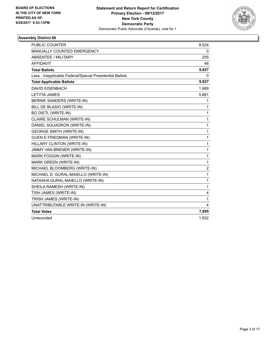

| <b>PUBLIC COUNTER</b>                                    | 9,524          |
|----------------------------------------------------------|----------------|
| <b>MANUALLY COUNTED EMERGENCY</b>                        | 0              |
| ABSENTEE / MILITARY                                      | 255            |
| <b>AFFIDAVIT</b>                                         | 48             |
| <b>Total Ballots</b>                                     | 9,827          |
| Less - Inapplicable Federal/Special Presidential Ballots | 0              |
| <b>Total Applicable Ballots</b>                          | 9,827          |
| <b>DAVID EISENBACH</b>                                   | 1,989          |
| <b>LETITIA JAMES</b>                                     | 5,881          |
| BERNIE SANDERS (WRITE-IN)                                | 1              |
| BILL DE BLASIO (WRITE-IN)                                | 1              |
| <b>BO DIETL (WRITE-IN)</b>                               | 1              |
| CLAIRE SCHULMAN (WRITE-IN)                               | 1              |
| DANIEL SQUADRON (WRITE-IN)                               | 1              |
| <b>GEORGE SMITH (WRITE-IN)</b>                           | 1              |
| <b>GUEN E FRIEDMAN (WRITE-IN)</b>                        | 1              |
| HILLARY CLINTON (WRITE-IN)                               | 1              |
| JIMMY VAN BRENER (WRITE-IN)                              | 1              |
| <b>MARK FOGGIN (WRITE-IN)</b>                            | 1              |
| MARK GREEN (WRITE-IN)                                    | 1              |
| MICHAEL BLOOMBERG (WRITE-IN)                             | $\overline{2}$ |
| MICHAEL D. GURAL-MAIELLO (WRITE-IN)                      | 1              |
| NATASHA GURAL-MAIELLO (WRITE-IN)                         | 1              |
| SHEILA RAMESH (WRITE-IN)                                 | 1              |
| TISH JAMES (WRITE-IN)                                    | 4              |
| TRISH JAMES (WRITE-IN)                                   | 1              |
| UNATTRIBUTABLE WRITE-IN (WRITE-IN)                       | 4              |
| <b>Total Votes</b>                                       | 7,895          |
| Unrecorded                                               | 1,932          |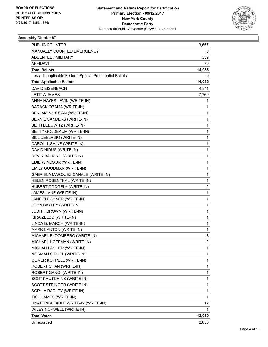

| <b>PUBLIC COUNTER</b>                                    | 13,657       |
|----------------------------------------------------------|--------------|
| MANUALLY COUNTED EMERGENCY                               | 0            |
| <b>ABSENTEE / MILITARY</b>                               | 359          |
| <b>AFFIDAVIT</b>                                         | 70           |
| <b>Total Ballots</b>                                     | 14,086       |
| Less - Inapplicable Federal/Special Presidential Ballots | 0            |
| <b>Total Applicable Ballots</b>                          | 14,086       |
| <b>DAVID EISENBACH</b>                                   | 4,211        |
| <b>LETITIA JAMES</b>                                     | 7,769        |
| ANNA HAYES LEVIN (WRITE-IN)                              | 1            |
| BARACK OBAMA (WRITE-IN)                                  | 1            |
| BENJAMIN COGAN (WRITE-IN)                                | 1            |
| BERNIE SANDERS (WRITE-IN)                                | 1            |
| BETH LEBOWITZ (WRITE-IN)                                 | 1            |
| BETTY GOLDBAUM (WRITE-IN)                                | 1            |
| BILL DEBLASIO (WRITE-IN)                                 | 1            |
| CAROL J. SHINE (WRITE-IN)                                | 1            |
| DAVID NIDUS (WRITE-IN)                                   | 1            |
| DEVIN BALKIND (WRITE-IN)                                 | 1            |
| EDIE WINDSOR (WRITE-IN)                                  | 1            |
| EMILY GOODMAN (WRITE-IN)                                 | 1            |
| GABRIELA MARQUEZ CANALE (WRITE-IN)                       | 1            |
| HELEN ROSENTHAL (WRITE-IN)                               | $\mathbf{1}$ |
| HUBERT CODGELY (WRITE-IN)                                | 2            |
| JAMES LANE (WRITE-IN)                                    | 1            |
| JANE FLECHNER (WRITE-IN)                                 | 1            |
| JOHN BAYLEY (WRITE-IN)                                   | 1            |
| <b>JUDITH BROWN (WRITE-IN)</b>                           | 1            |
| KIRA ZELBO (WRITE-IN)                                    | 1            |
| LINDA G. MARCH (WRITE-IN)                                | 1            |
| MARK CANTON (WRITE-IN)                                   | 1            |
| MICHAEL BLOOMBERG (WRITE-IN)                             | 3            |
| MICHAEL HOFFMAN (WRITE-IN)                               | 2            |
| MICHAH LASHER (WRITE-IN)                                 | 1            |
| NORMAN SIEGEL (WRITE-IN)                                 | 1            |
| OLIVER KOPPELL (WRITE-IN)                                | 1            |
| ROBERT CHAN (WRITE-IN)                                   | 1            |
| ROBERT GANGI (WRITE-IN)                                  | 1            |
| SCOTT HUTCHINS (WRITE-IN)                                | 1            |
| SCOTT STRINGER (WRITE-IN)                                | 1            |
| SOPHIA RADLEY (WRITE-IN)                                 | 1            |
| TISH JAMES (WRITE-IN)                                    | 1            |
| UNATTRIBUTABLE WRITE-IN (WRITE-IN)                       | 12           |
| WILEY NORWELL (WRITE-IN)                                 | 1            |
| <b>Total Votes</b>                                       | 12,030       |
| Unrecorded                                               | 2,056        |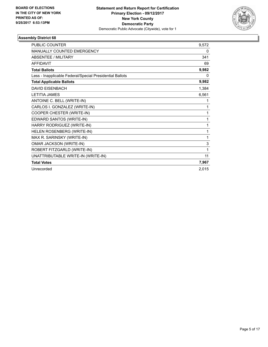

| <b>PUBLIC COUNTER</b>                                    | 9,572 |
|----------------------------------------------------------|-------|
| <b>MANUALLY COUNTED EMERGENCY</b>                        | 0     |
| <b>ABSENTEE / MILITARY</b>                               | 341   |
| <b>AFFIDAVIT</b>                                         | 69    |
| <b>Total Ballots</b>                                     | 9,982 |
| Less - Inapplicable Federal/Special Presidential Ballots | 0     |
| <b>Total Applicable Ballots</b>                          | 9,982 |
| <b>DAVID EISENBACH</b>                                   | 1,384 |
| <b>LETITIA JAMES</b>                                     | 6,561 |
| ANTOINE C. BELL (WRITE-IN)                               | 1     |
| CARLOS I. GONZALEZ (WRITE-IN)                            | 1     |
| COOPER CHESTER (WRITE-IN)                                | 1     |
| EDWARD SANTOS (WRITE-IN)                                 | 1     |
| HARRY RODRIGUEZ (WRITE-IN)                               | 1     |
| HELEN ROSENBERG (WRITE-IN)                               | 1     |
| MAX R. SARINSKY (WRITE-IN)                               | 1     |
| OMAR JACKSON (WRITE-IN)                                  | 3     |
| ROBERT FITZGARLD (WRITE-IN)                              | 1     |
| UNATTRIBUTABLE WRITE-IN (WRITE-IN)                       | 11    |
| <b>Total Votes</b>                                       | 7,967 |
| Unrecorded                                               | 2,015 |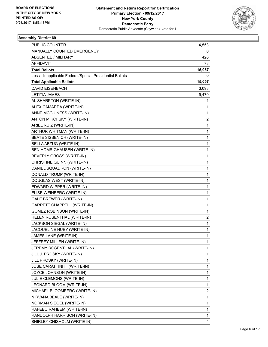

| <b>PUBLIC COUNTER</b>                                    | 14,553 |
|----------------------------------------------------------|--------|
| MANUALLY COUNTED EMERGENCY                               | 0      |
| ABSENTEE / MILITARY                                      | 426    |
| <b>AFFIDAVIT</b>                                         | 78     |
| <b>Total Ballots</b>                                     | 15,057 |
| Less - Inapplicable Federal/Special Presidential Ballots | 0      |
| <b>Total Applicable Ballots</b>                          | 15,057 |
| <b>DAVID EISENBACH</b>                                   | 3,093  |
| <b>LETITIA JAMES</b>                                     | 9,470  |
| AL SHARPTON (WRITE-IN)                                   | 1      |
| ALEX CAMARDA (WRITE-IN)                                  | 1      |
| ANNE MCGUINESS (WRITE-IN)                                | 1      |
| ANTON MIKOFSKY (WRITE-IN)                                | 2      |
| ARIEL RUIZ (WRITE-IN)                                    | 1      |
| ARTHUR WHITMAN (WRITE-IN)                                | 1      |
| BEATE SISSENICH (WRITE-IN)                               | 1      |
| BELLA ABZUG (WRITE-IN)                                   | 1      |
| BEN HOMRIGHAUSEN (WRITE-IN)                              | 1      |
| BEVERLY GROSS (WRITE-IN)                                 | 1      |
| CHRISTINE QUINN (WRITE-IN)                               | 1      |
| DANIEL SQUADRON (WRITE-IN)                               | 1      |
| DONALD TRUMP (WRITE-IN)                                  | 1      |
| DOUGLAS WEST (WRITE-IN)                                  | 1      |
| EDWARD WIPPER (WRITE-IN)                                 | 1      |
| ELISE WEINBERG (WRITE-IN)                                | 1      |
| <b>GALE BREWER (WRITE-IN)</b>                            | 1      |
| <b>GARRETT CHAPPELL (WRITE-IN)</b>                       | 1      |
| <b>GOMEZ ROBINSON (WRITE-IN)</b>                         | 1      |
| HELEN ROSENTHAL (WRITE-IN)                               | 2      |
| JACKSON SIEGAL (WRITE-IN)                                | 1      |
| JACQUELINE HUEY (WRITE-IN)                               | 1      |
| JAMES LANE (WRITE-IN)                                    | 1      |
| JEFFREY MILLEN (WRITE-IN)                                | 1      |
| JEREMY ROSENTHAL (WRITE-IN)                              | 1      |
| JILL J. PROSKY (WRITE-IN)                                | 1      |
| JILL PROSKY (WRITE-IN)                                   | 1      |
| JOSE CARATTINI III (WRITE-IN)                            | 1      |
| JOYCE JOHNSON (WRITE-IN)                                 | 1      |
| JULIE CLEMONS (WRITE-IN)                                 | 1      |
| LEONARD BLOOM (WRITE-IN)                                 | 1      |
| MICHAEL BLOOMBERG (WRITE-IN)                             | 2      |
| NIRVANA BEALE (WRITE-IN)                                 | 1      |
| NORMAN SIEGEL (WRITE-IN)                                 | 1      |
| RAFEEQ RAHEEM (WRITE-IN)                                 | 1      |
| RANDOLPH HARRISON (WRITE-IN)                             | 1      |
| SHIRLEY CHISHOLM (WRITE-IN)                              | 4      |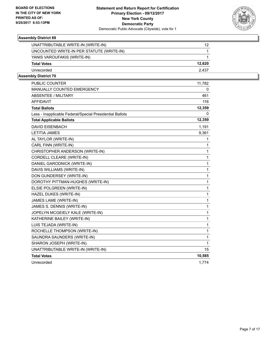

| UNATTRIBUTABLE WRITE-IN (WRITE-IN)        | 12     |
|-------------------------------------------|--------|
| UNCOUNTED WRITE-IN PER STATUTE (WRITE-IN) |        |
| YANIS VAROUFAKIS (WRITE-IN)               |        |
| <b>Total Votes</b>                        | 12,620 |
| Unrecorded                                | 2.437  |
|                                           |        |

| <b>PUBLIC COUNTER</b>                                    | 11,782 |
|----------------------------------------------------------|--------|
| MANUALLY COUNTED EMERGENCY                               | 0      |
| ABSENTEE / MILITARY                                      | 461    |
| <b>AFFIDAVIT</b>                                         | 116    |
| <b>Total Ballots</b>                                     | 12,359 |
| Less - Inapplicable Federal/Special Presidential Ballots | 0      |
| <b>Total Applicable Ballots</b>                          | 12,359 |
| <b>DAVID EISENBACH</b>                                   | 1,191  |
| <b>LETITIA JAMES</b>                                     | 9,361  |
| AL TAYLOR (WRITE-IN)                                     | 1      |
| CARL FINN (WRITE-IN)                                     | 1      |
| CHRISTOPHER ANDERSON (WRITE-IN)                          | 1      |
| CORDELL CLEARE (WRITE-IN)                                | 1      |
| DANIEL GARODNICK (WRITE-IN)                              | 1      |
| DAVIS WILLIAMS (WRITE-IN)                                | 1      |
| DON GUNDERSEY (WRITE-IN)                                 | 1      |
| DOROTHY PITTMAN-HUGHES (WRITE-IN)                        | 1      |
| ELSIE POLGREEN (WRITE-IN)                                | 1      |
| HAZEL DUKES (WRITE-IN)                                   | 1      |
| JAMES LAME (WRITE-IN)                                    | 1      |
| JAMES S. DENNIS (WRITE-IN)                               | 1      |
| JOPELYN MCGEIELY KALE (WRITE-IN)                         | 1      |
| KATHERINE BAILEY (WRITE-IN)                              | 1      |
| LUIS TEJADA (WRITE-IN)                                   | 1      |
| ROCHELLE THOMPSON (WRITE-IN)                             | 1      |
| SAUNDRA SAUNDERS (WRITE-IN)                              | 1      |
| SHARON JOSEPH (WRITE-IN)                                 | 1      |
| UNATTRIBUTABLE WRITE-IN (WRITE-IN)                       | 15     |
| <b>Total Votes</b>                                       | 10,585 |
| Unrecorded                                               | 1.774  |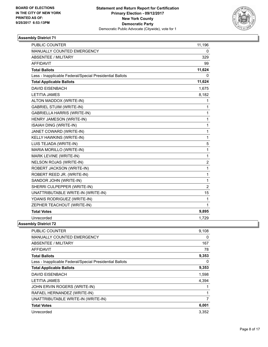

| <b>PUBLIC COUNTER</b>                                    | 11,196                  |
|----------------------------------------------------------|-------------------------|
| MANUALLY COUNTED EMERGENCY                               | 0                       |
| <b>ABSENTEE / MILITARY</b>                               | 329                     |
| <b>AFFIDAVIT</b>                                         | 99                      |
| <b>Total Ballots</b>                                     | 11,624                  |
| Less - Inapplicable Federal/Special Presidential Ballots | 0                       |
| <b>Total Applicable Ballots</b>                          | 11,624                  |
| <b>DAVID EISENBACH</b>                                   | 1,675                   |
| <b>LETITIA JAMES</b>                                     | 8,182                   |
| ALTON MADDOX (WRITE-IN)                                  | 1                       |
| <b>GABRIEL STUIM (WRITE-IN)</b>                          | 1                       |
| <b>GABRIELLA HARRIS (WRITE-IN)</b>                       | 1                       |
| HENRY JAMESON (WRITE-IN)                                 | 1                       |
| ISAIAH DING (WRITE-IN)                                   | 1                       |
| JANET COWARD (WRITE-IN)                                  | 1                       |
| KELLY HAWKINS (WRITE-IN)                                 | 1                       |
| LUIS TEJADA (WRITE-IN)                                   | 5                       |
| MARIA MORILLO (WRITE-IN)                                 | 1                       |
| MARK LEVINE (WRITE-IN)                                   | 1                       |
| <b>NELSON ROJAS (WRITE-IN)</b>                           | $\overline{\mathbf{c}}$ |
| ROBERT JACKSON (WRITE-IN)                                | 1                       |
| ROBERT REED JR. (WRITE-IN)                               | 1                       |
| SANDOR JOHN (WRITE-IN)                                   | 1                       |
| SHERRI CULPEPPER (WRITE-IN)                              | $\overline{2}$          |
| UNATTRIBUTABLE WRITE-IN (WRITE-IN)                       | 15                      |
| YDANIS RODRIGUEZ (WRITE-IN)                              | 1                       |
| ZEPHER TEACHOUT (WRITE-IN)                               | 1                       |
| <b>Total Votes</b>                                       | 9,895                   |
| Unrecorded                                               | 1,729                   |
| nhlv Dietrict 72                                         |                         |

| <b>PUBLIC COUNTER</b>                                    | 9,108 |
|----------------------------------------------------------|-------|
| <b>MANUALLY COUNTED EMERGENCY</b>                        | 0     |
| <b>ABSENTEE / MILITARY</b>                               | 167   |
| <b>AFFIDAVIT</b>                                         | 78    |
| <b>Total Ballots</b>                                     | 9,353 |
| Less - Inapplicable Federal/Special Presidential Ballots | 0     |
| <b>Total Applicable Ballots</b>                          | 9,353 |
| <b>DAVID EISENBACH</b>                                   | 1,598 |
| LETITIA JAMES                                            | 4,394 |
| JOHN ERVIN ROGERS (WRITE-IN)                             |       |
| RAFAEL HERNANDEZ (WRITE-IN)                              |       |
| UNATTRIBUTABLE WRITE-IN (WRITE-IN)                       | 7     |
| <b>Total Votes</b>                                       | 6,001 |
| Unrecorded                                               | 3,352 |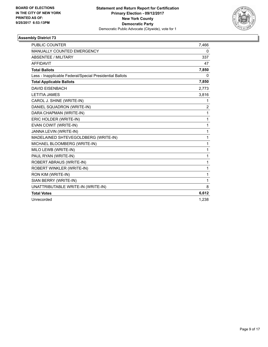

| <b>PUBLIC COUNTER</b>                                    | 7,466          |
|----------------------------------------------------------|----------------|
| MANUALLY COUNTED EMERGENCY                               | 0              |
| <b>ABSENTEE / MILITARY</b>                               | 337            |
| <b>AFFIDAVIT</b>                                         | 47             |
| <b>Total Ballots</b>                                     | 7,850          |
| Less - Inapplicable Federal/Special Presidential Ballots | 0              |
| <b>Total Applicable Ballots</b>                          | 7,850          |
| <b>DAVID EISENBACH</b>                                   | 2,773          |
| <b>LETITIA JAMES</b>                                     | 3,816          |
| CAROL J. SHINE (WRITE-IN)                                | 1              |
| DANIEL SQUADRON (WRITE-IN)                               | $\overline{2}$ |
| DARA CHAPMAN (WRITE-IN)                                  | 1              |
| ERIC HOLDER (WRITE-IN)                                   | $\mathbf{1}$   |
| EVAN COWIT (WRITE-IN)                                    | 1              |
| JANNA LEVIN (WRITE-IN)                                   | 1              |
| MADELAINED SHTEVEGOLDBERG (WRITE-IN)                     | 1              |
| MICHAEL BLOOMBERG (WRITE-IN)                             | 1              |
| MILO LEWB (WRITE-IN)                                     | 1              |
| PAUL RYAN (WRITE-IN)                                     | 1              |
| ROBERT ABRAUS (WRITE-IN)                                 | 1              |
| <b>ROBERT WINKLER (WRITE-IN)</b>                         | 1              |
| RON KIM (WRITE-IN)                                       | 1              |
| SIAN BERRY (WRITE-IN)                                    | 1              |
| UNATTRIBUTABLE WRITE-IN (WRITE-IN)                       | 8              |
| <b>Total Votes</b>                                       | 6,612          |
| Unrecorded                                               | 1,238          |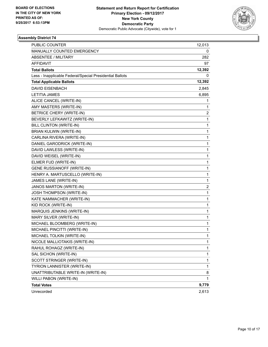

| PUBLIC COUNTER                                           | 12,013 |
|----------------------------------------------------------|--------|
| MANUALLY COUNTED EMERGENCY                               | 0      |
| <b>ABSENTEE / MILITARY</b>                               | 282    |
| <b>AFFIDAVIT</b>                                         | 97     |
| <b>Total Ballots</b>                                     | 12,392 |
| Less - Inapplicable Federal/Special Presidential Ballots | 0      |
| <b>Total Applicable Ballots</b>                          | 12,392 |
| DAVID EISENBACH                                          | 2,845  |
| LETITIA JAMES                                            | 6,895  |
| ALICE CANCEL (WRITE-IN)                                  | 1      |
| AMY MASTERS (WRITE-IN)                                   | 1      |
| <b>BETRICE CHERY (WRITE-IN)</b>                          | 2      |
| BEVERLY LEFKAWITZ (WRITE-IN)                             | 1      |
| BILL CLINTON (WRITE-IN)                                  | 1      |
| BRIAN KULWIN (WRITE-IN)                                  | 1      |
| CARLINA RIVERA (WRITE-IN)                                | 1      |
| DANIEL GARODRICK (WRITE-IN)                              | 1      |
| DAVID LAWLESS (WRITE-IN)                                 | 1      |
| DAVID WEISEL (WRITE-IN)                                  | 1      |
| ELMER FUD (WRITE-IN)                                     | 1      |
| <b>GENE RUSSIANOFF (WRITE-IN)</b>                        | 1      |
| HENRY A. MARTUSCELLO (WRITE-IN)                          | 1      |
| JAMES LANE (WRITE-IN)                                    | 1      |
| JANOS MARTON (WRITE-IN)                                  | 2      |
| JOSH THOMPSON (WRITE-IN)                                 | 1      |
| KATE NAMMACHER (WRITE-IN)                                | 1      |
| KID ROCK (WRITE-IN)                                      | 1      |
| MARQUIS JENKINS (WRITE-IN)                               | 1      |
| MARY SILVER (WRITE-IN)                                   | 1      |
| MICHAEL BLOOMBERG (WRITE-IN)                             | 1      |
| MICHAEL PINCITTI (WRITE-IN)                              | 1      |
| MICHAEL TOLKIN (WRITE-IN)                                | 1      |
| NICOLE MALLIOTAKIS (WRITE-IN)                            | 1      |
| RAHUL ROHAGZ (WRITE-IN)                                  | 1      |
| SAL SICHON (WRITE-IN)                                    | 1      |
| SCOTT STRINGER (WRITE-IN)                                | 1      |
| TYRION LANNISTER (WRITE-IN)                              | 1      |
| UNATTRIBUTABLE WRITE-IN (WRITE-IN)                       | 8      |
| WILLI PABON (WRITE-IN)                                   | 1      |
| <b>Total Votes</b>                                       | 9,779  |
| Unrecorded                                               | 2,613  |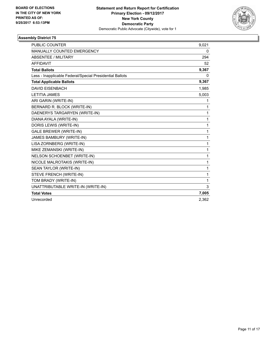

| <b>PUBLIC COUNTER</b>                                    | 9,021 |
|----------------------------------------------------------|-------|
| <b>MANUALLY COUNTED EMERGENCY</b>                        | 0     |
| <b>ABSENTEE / MILITARY</b>                               | 294   |
| <b>AFFIDAVIT</b>                                         | 52    |
| <b>Total Ballots</b>                                     | 9,367 |
| Less - Inapplicable Federal/Special Presidential Ballots | 0     |
| <b>Total Applicable Ballots</b>                          | 9,367 |
| <b>DAVID EISENBACH</b>                                   | 1,985 |
| <b>LETITIA JAMES</b>                                     | 5,003 |
| ARI GARIN (WRITE-IN)                                     | 1     |
| BERNARD R. BLOCK (WRITE-IN)                              | 1     |
| DAENERYS TARGARYEN (WRITE-IN)                            | 1     |
| DIANA AYALA (WRITE-IN)                                   | 1     |
| DORIS LEWIS (WRITE-IN)                                   | 1     |
| <b>GALE BREWER (WRITE-IN)</b>                            | 1     |
| JAMES BAMBURY (WRITE-IN)                                 | 1     |
| LISA ZORNBERG (WRITE-IN)                                 | 1     |
| MIKE ZEMANSKI (WRITE-IN)                                 | 1     |
| NELSON SCHOENBET (WRITE-IN)                              | 1     |
| NICOLE MALROTAKIS (WRITE-IN)                             | 1     |
| SEAN TAYLOR (WRITE-IN)                                   | 1     |
| STEVE FRENCH (WRITE-IN)                                  | 1     |
| TOM BRADY (WRITE-IN)                                     | 1     |
| UNATTRIBUTABLE WRITE-IN (WRITE-IN)                       | 3     |
| <b>Total Votes</b>                                       | 7,005 |
| Unrecorded                                               | 2,362 |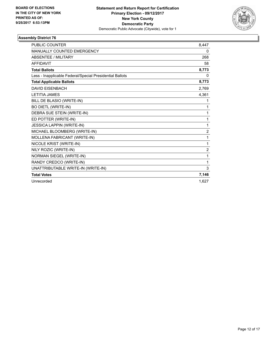

| <b>PUBLIC COUNTER</b>                                    | 8,447          |
|----------------------------------------------------------|----------------|
| <b>MANUALLY COUNTED EMERGENCY</b>                        | 0              |
| <b>ABSENTEE / MILITARY</b>                               | 268            |
| <b>AFFIDAVIT</b>                                         | 58             |
| <b>Total Ballots</b>                                     | 8,773          |
| Less - Inapplicable Federal/Special Presidential Ballots | 0              |
| <b>Total Applicable Ballots</b>                          | 8,773          |
| <b>DAVID EISENBACH</b>                                   | 2,769          |
| <b>LETITIA JAMES</b>                                     | 4,361          |
| BILL DE BLASIO (WRITE-IN)                                | 1              |
| <b>BO DIETL (WRITE-IN)</b>                               | 1              |
| DEBRA SUE STEIN (WRITE-IN)                               | 1              |
| ED POTTER (WRITE-IN)                                     | 1              |
| <b>JESSICA LAPPIN (WRITE-IN)</b>                         | 1              |
| MICHAEL BLOOMBERG (WRITE-IN)                             | $\overline{2}$ |
| MOLLENA FABRICANT (WRITE-IN)                             | 1              |
| NICOLE KRIST (WRITE-IN)                                  | 1              |
| NILY ROZIC (WRITE-IN)                                    | $\overline{2}$ |
| <b>NORMAN SIEGEL (WRITE-IN)</b>                          | 1              |
| RANDY CREDCO (WRITE-IN)                                  | 1              |
| UNATTRIBUTABLE WRITE-IN (WRITE-IN)                       | 3              |
| <b>Total Votes</b>                                       | 7,146          |
| Unrecorded                                               | 1,627          |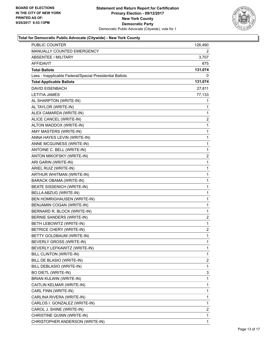

| PUBLIC COUNTER                                           | 126,490        |
|----------------------------------------------------------|----------------|
| <b>MANUALLY COUNTED EMERGENCY</b>                        | 2.             |
| <b>ABSENTEE / MILITARY</b>                               | 3,707          |
| AFFIDAVIT                                                | 875            |
| <b>Total Ballots</b>                                     | 131,074        |
| Less - Inapplicable Federal/Special Presidential Ballots | 0              |
| <b>Total Applicable Ballots</b>                          | 131,074        |
| <b>DAVID EISENBACH</b>                                   | 27,811         |
| <b>LETITIA JAMES</b>                                     | 77,133         |
| AL SHARPTON (WRITE-IN)                                   | 1              |
| AL TAYLOR (WRITE-IN)                                     | 1              |
| ALEX CAMARDA (WRITE-IN)                                  | 1              |
| ALICE CANCEL (WRITE-IN)                                  | 2              |
| ALTON MADDOX (WRITE-IN)                                  | 1              |
| AMY MASTERS (WRITE-IN)                                   | 1              |
| ANNA HAYES LEVIN (WRITE-IN)                              | 1              |
| ANNE MCGUINESS (WRITE-IN)                                | 1              |
| ANTOINE C. BELL (WRITE-IN)                               | 1              |
| ANTON MIKOFSKY (WRITE-IN)                                | 2              |
| ARI GARIN (WRITE-IN)                                     | 1              |
| ARIEL RUIZ (WRITE-IN)                                    | 1              |
| ARTHUR WHITMAN (WRITE-IN)                                | 1              |
| <b>BARACK OBAMA (WRITE-IN)</b>                           | 1              |
| BEATE SISSENICH (WRITE-IN)                               | 1              |
| BELLA ABZUG (WRITE-IN)                                   | 1              |
| BEN HOMRIGHAUSEN (WRITE-IN)                              | 1              |
| BENJAMIN COGAN (WRITE-IN)                                | 1              |
| BERNARD R. BLOCK (WRITE-IN)                              | 1              |
| BERNIE SANDERS (WRITE-IN)                                | $\overline{c}$ |
| BETH LEBOWITZ (WRITE-IN)                                 | 1              |
| BETRICE CHERY (WRITE-IN)                                 | 2              |
| BETTY GOLDBAUM (WRITE-IN)                                | 1              |
| BEVERLY GROSS (WRITE-IN)                                 | 1              |
| BEVERLY LEFKAWITZ (WRITE-IN)                             | 1              |
| BILL CLINTON (WRITE-IN)                                  | 1              |
| BILL DE BLASIO (WRITE-IN)                                | 2              |
| BILL DEBLASIO (WRITE-IN)                                 | 1              |
| <b>BO DIETL (WRITE-IN)</b>                               | 3              |
| <b>BRIAN KULWIN (WRITE-IN)</b>                           | 1              |
| CAITLIN KELMAR (WRITE-IN)                                | 1              |
| CARL FINN (WRITE-IN)                                     | 1              |
| CARLINA RIVERA (WRITE-IN)                                | 1              |
| CARLOS I. GONZALEZ (WRITE-IN)                            | 1              |
| CAROL J. SHINE (WRITE-IN)                                | 2              |
| CHRISTINE QUINN (WRITE-IN)                               | 1              |
| CHRISTOPHER ANDERSON (WRITE-IN)                          | 1              |
|                                                          |                |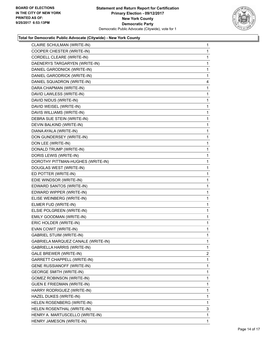

| CLAIRE SCHULMAN (WRITE-IN)         | 1              |
|------------------------------------|----------------|
| COOPER CHESTER (WRITE-IN)          | 1              |
| CORDELL CLEARE (WRITE-IN)          | 1              |
| DAENERYS TARGARYEN (WRITE-IN)      | 1              |
| DANIEL GARODNICK (WRITE-IN)        | 1              |
| DANIEL GARODRICK (WRITE-IN)        | 1              |
| DANIEL SQUADRON (WRITE-IN)         | 4              |
| DARA CHAPMAN (WRITE-IN)            | 1              |
| DAVID LAWLESS (WRITE-IN)           | 1              |
| DAVID NIDUS (WRITE-IN)             | 1              |
| DAVID WEISEL (WRITE-IN)            | 1              |
| DAVIS WILLIAMS (WRITE-IN)          | 1              |
| DEBRA SUE STEIN (WRITE-IN)         | 1              |
| DEVIN BALKIND (WRITE-IN)           | 1              |
| DIANA AYALA (WRITE-IN)             | 1              |
| DON GUNDERSEY (WRITE-IN)           | 1              |
| DON LEE (WRITE-IN)                 | 1              |
| DONALD TRUMP (WRITE-IN)            | 1              |
| DORIS LEWIS (WRITE-IN)             | 1              |
| DOROTHY PITTMAN-HUGHES (WRITE-IN)  | 1              |
| DOUGLAS WEST (WRITE-IN)            | 1              |
| ED POTTER (WRITE-IN)               | 1              |
| EDIE WINDSOR (WRITE-IN)            | 1              |
| EDWARD SANTOS (WRITE-IN)           | 1              |
| EDWARD WIPPER (WRITE-IN)           | 1              |
| ELISE WEINBERG (WRITE-IN)          | 1              |
| ELMER FUD (WRITE-IN)               | 1              |
| ELSIE POLGREEN (WRITE-IN)          | 1              |
| EMILY GOODMAN (WRITE-IN)           | 1              |
| ERIC HOLDER (WRITE-IN)             | 1              |
| EVAN COWIT (WRITE-IN)              | 1              |
| <b>GABRIEL STUIM (WRITE-IN)</b>    | 1              |
| GABRIELA MARQUEZ CANALE (WRITE-IN) | 1              |
| GABRIELLA HARRIS (WRITE-IN)        | 1              |
| GALE BREWER (WRITE-IN)             | $\overline{2}$ |
| <b>GARRETT CHAPPELL (WRITE-IN)</b> | 1              |
| <b>GENE RUSSIANOFF (WRITE-IN)</b>  | 1              |
| <b>GEORGE SMITH (WRITE-IN)</b>     | 1              |
| <b>GOMEZ ROBINSON (WRITE-IN)</b>   | 1              |
| <b>GUEN E FRIEDMAN (WRITE-IN)</b>  | 1              |
| HARRY RODRIGUEZ (WRITE-IN)         | 1              |
| HAZEL DUKES (WRITE-IN)             | 1              |
| HELEN ROSENBERG (WRITE-IN)         | 1              |
| HELEN ROSENTHAL (WRITE-IN)         | 3              |
| HENRY A. MARTUSCELLO (WRITE-IN)    | 1              |
| HENRY JAMESON (WRITE-IN)           | 1              |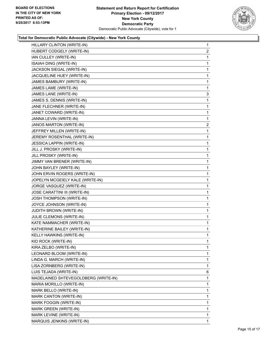

| HILLARY CLINTON (WRITE-IN)           | $\mathbf{1}$ |
|--------------------------------------|--------------|
| HUBERT CODGELY (WRITE-IN)            | 2            |
| IAN CULLEY (WRITE-IN)                | 1            |
| <b>ISAIAH DING (WRITE-IN)</b>        | 1            |
| JACKSON SIEGAL (WRITE-IN)            | 1            |
| JACQUELINE HUEY (WRITE-IN)           | 1            |
| JAMES BAMBURY (WRITE-IN)             | 1            |
| JAMES LAME (WRITE-IN)                | 1            |
| JAMES LANE (WRITE-IN)                | 3            |
| JAMES S. DENNIS (WRITE-IN)           | 1            |
| JANE FLECHNER (WRITE-IN)             | 1            |
| JANET COWARD (WRITE-IN)              | 1            |
| JANNA LEVIN (WRITE-IN)               | 1            |
| JANOS MARTON (WRITE-IN)              | $\mathbf{2}$ |
| JEFFREY MILLEN (WRITE-IN)            | 1            |
| JEREMY ROSENTHAL (WRITE-IN)          | 1            |
| JESSICA LAPPIN (WRITE-IN)            | 1            |
| JILL J. PROSKY (WRITE-IN)            | 1            |
| JILL PROSKY (WRITE-IN)               | 1            |
| JIMMY VAN BRENER (WRITE-IN)          | 1            |
| JOHN BAYLEY (WRITE-IN)               | 1            |
| JOHN ERVIN ROGERS (WRITE-IN)         | 1            |
| JOPELYN MCGEIELY KALE (WRITE-IN)     | 1            |
| JORGE VASQUEZ (WRITE-IN)             | 1            |
| <b>JOSE CARATTINI III (WRITE-IN)</b> | 1            |
| JOSH THOMPSON (WRITE-IN)             | 1            |
| JOYCE JOHNSON (WRITE-IN)             | 1            |
| <b>JUDITH BROWN (WRITE-IN)</b>       | 1            |
| JULIE CLEMONS (WRITE-IN)             | 1            |
| KATE NAMMACHER (WRITE-IN)            | 1            |
| KATHERINE BAILEY (WRITE-IN)          | 1            |
| KELLY HAWKINS (WRITE-IN)             | 1            |
| KID ROCK (WRITE-IN)                  | 1            |
| KIRA ZELBO (WRITE-IN)                | 1            |
| LEONARD BLOOM (WRITE-IN)             | 1            |
| LINDA G. MARCH (WRITE-IN)            | 1            |
| LISA ZORNBERG (WRITE-IN)             | 1            |
| LUIS TEJADA (WRITE-IN)               | 6            |
| MADELAINED SHTEVEGOLDBERG (WRITE-IN) | 1            |
| MARIA MORILLO (WRITE-IN)             | 1            |
| MARK BELLO (WRITE-IN)                | 1            |
| MARK CANTON (WRITE-IN)               | 1            |
| MARK FOGGIN (WRITE-IN)               | 1            |
| MARK GREEN (WRITE-IN)                | 1            |
| MARK LEVINE (WRITE-IN)               | 1            |
| MARQUIS JENKINS (WRITE-IN)           | $\mathbf{1}$ |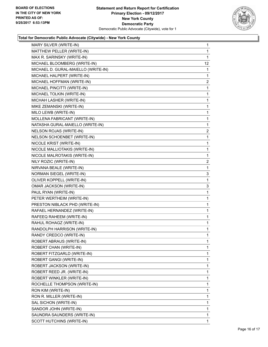

| MARY SILVER (WRITE-IN)              | $\mathbf 1$             |
|-------------------------------------|-------------------------|
| MATTHEW PELLER (WRITE-IN)           | 1                       |
| MAX R. SARINSKY (WRITE-IN)          | 1                       |
| MICHAEL BLOOMBERG (WRITE-IN)        | 12                      |
| MICHAEL D. GURAL-MAIELLO (WRITE-IN) | 1                       |
| MICHAEL HALPERT (WRITE-IN)          | 1                       |
| MICHAEL HOFFMAN (WRITE-IN)          | $\overline{2}$          |
| MICHAEL PINCITTI (WRITE-IN)         | 1                       |
| MICHAEL TOLKIN (WRITE-IN)           | 1                       |
| MICHAH LASHER (WRITE-IN)            | 1                       |
| MIKE ZEMANSKI (WRITE-IN)            | 1                       |
| MILO LEWB (WRITE-IN)                | 1                       |
| MOLLENA FABRICANT (WRITE-IN)        | 1                       |
| NATASHA GURAL-MAIELLO (WRITE-IN)    | 1                       |
| NELSON ROJAS (WRITE-IN)             | $\overline{\mathbf{c}}$ |
| NELSON SCHOENBET (WRITE-IN)         | 1                       |
| NICOLE KRIST (WRITE-IN)             | 1                       |
| NICOLE MALLIOTAKIS (WRITE-IN)       | 1                       |
| NICOLE MALROTAKIS (WRITE-IN)        | 1                       |
| NILY ROZIC (WRITE-IN)               | 2                       |
| NIRVANA BEALE (WRITE-IN)            | 1                       |
| NORMAN SIEGEL (WRITE-IN)            | 3                       |
| OLIVER KOPPELL (WRITE-IN)           | 1                       |
| OMAR JACKSON (WRITE-IN)             | 3                       |
| PAUL RYAN (WRITE-IN)                | 1                       |
| PETER WERTHEIM (WRITE-IN)           | 1                       |
| PRESTON NIBLACK PHD (WRITE-IN)      | 1                       |
| RAFAEL HERNANDEZ (WRITE-IN)         | 1                       |
| RAFEEQ RAHEEM (WRITE-IN)            | 1                       |
| RAHUL ROHAGZ (WRITE-IN)             | 1                       |
| RANDOLPH HARRISON (WRITE-IN)        | 1                       |
| RANDY CREDCO (WRITE-IN)             | 1                       |
| ROBERT ABRAUS (WRITE-IN)            | 1                       |
| ROBERT CHAN (WRITE-IN)              | $\mathbf{1}$            |
| ROBERT FITZGARLD (WRITE-IN)         | 1                       |
| ROBERT GANGI (WRITE-IN)             | 1                       |
| ROBERT JACKSON (WRITE-IN)           | 1                       |
| ROBERT REED JR. (WRITE-IN)          | 1                       |
| ROBERT WINKLER (WRITE-IN)           | 1                       |
| ROCHELLE THOMPSON (WRITE-IN)        | 1                       |
| RON KIM (WRITE-IN)                  | 1                       |
| RON R. MILLER (WRITE-IN)            | 1                       |
| SAL SICHON (WRITE-IN)               | 1                       |
| SANDOR JOHN (WRITE-IN)              | 1                       |
| SAUNDRA SAUNDERS (WRITE-IN)         | 1                       |
| SCOTT HUTCHINS (WRITE-IN)           | 1                       |
|                                     |                         |